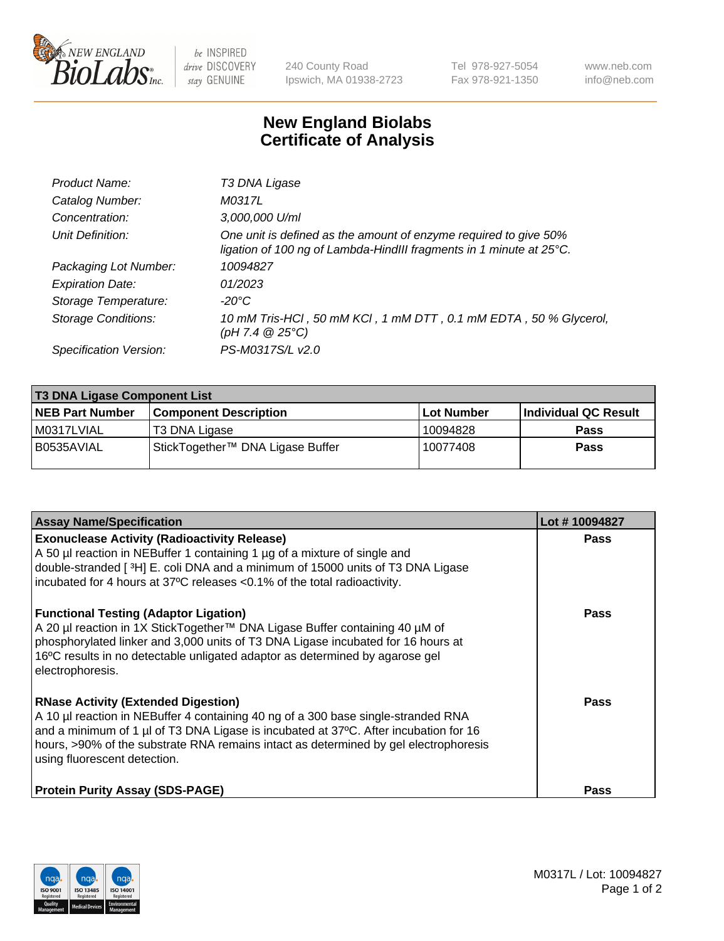

 $be$  INSPIRED drive DISCOVERY stay GENUINE

240 County Road Ipswich, MA 01938-2723 Tel 978-927-5054 Fax 978-921-1350 www.neb.com info@neb.com

## **New England Biolabs Certificate of Analysis**

| Product Name:              | T3 DNA Ligase                                                                                                                           |
|----------------------------|-----------------------------------------------------------------------------------------------------------------------------------------|
| Catalog Number:            | M0317L                                                                                                                                  |
| Concentration:             | 3,000,000 U/ml                                                                                                                          |
| Unit Definition:           | One unit is defined as the amount of enzyme required to give 50%<br>ligation of 100 ng of Lambda-HindIII fragments in 1 minute at 25°C. |
| Packaging Lot Number:      | 10094827                                                                                                                                |
| <b>Expiration Date:</b>    | 01/2023                                                                                                                                 |
| Storage Temperature:       | $-20^{\circ}$ C                                                                                                                         |
| <b>Storage Conditions:</b> | 10 mM Tris-HCl, 50 mM KCl, 1 mM DTT, 0.1 mM EDTA, 50 % Glycerol,<br>(pH 7.4 $@25°C$ )                                                   |
| Specification Version:     | PS-M0317S/L v2.0                                                                                                                        |

| <b>T3 DNA Ligase Component List</b> |                                  |            |                      |  |  |
|-------------------------------------|----------------------------------|------------|----------------------|--|--|
| <b>NEB Part Number</b>              | <b>Component Description</b>     | Lot Number | Individual QC Result |  |  |
| M0317LVIAL                          | T3 DNA Ligase                    | 10094828   | <b>Pass</b>          |  |  |
| B0535AVIAL                          | StickTogether™ DNA Ligase Buffer | 10077408   | <b>Pass</b>          |  |  |

| <b>Assay Name/Specification</b>                                                                                                                                                                                                                                                                                                                 | Lot #10094827 |
|-------------------------------------------------------------------------------------------------------------------------------------------------------------------------------------------------------------------------------------------------------------------------------------------------------------------------------------------------|---------------|
| <b>Exonuclease Activity (Radioactivity Release)</b><br>A 50 µl reaction in NEBuffer 1 containing 1 µg of a mixture of single and<br>double-stranded [ <sup>3</sup> H] E. coli DNA and a minimum of 15000 units of T3 DNA Ligase<br>incubated for 4 hours at 37°C releases <0.1% of the total radioactivity.                                     | <b>Pass</b>   |
| <b>Functional Testing (Adaptor Ligation)</b><br>A 20 µl reaction in 1X StickTogether™ DNA Ligase Buffer containing 40 µM of<br>phosphorylated linker and 3,000 units of T3 DNA Ligase incubated for 16 hours at<br>16°C results in no detectable unligated adaptor as determined by agarose gel<br>electrophoresis.                             | Pass          |
| <b>RNase Activity (Extended Digestion)</b><br>A 10 µl reaction in NEBuffer 4 containing 40 ng of a 300 base single-stranded RNA<br>and a minimum of 1 µl of T3 DNA Ligase is incubated at 37°C. After incubation for 16<br>hours, >90% of the substrate RNA remains intact as determined by gel electrophoresis<br>using fluorescent detection. | <b>Pass</b>   |
| <b>Protein Purity Assay (SDS-PAGE)</b>                                                                                                                                                                                                                                                                                                          | <b>Pass</b>   |